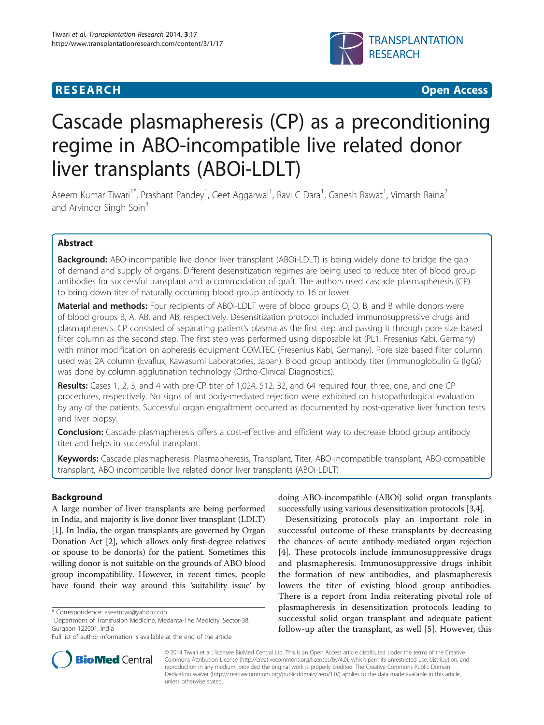# **RESEARCH CHINESE ARCH CHINESE ARCH CHINESE ARCH <b>CHINESE ARCH**



# Cascade plasmapheresis (CP) as a preconditioning regime in ABO-incompatible live related donor liver transplants (ABOi-LDLT)

Aseem Kumar Tiwari<sup>1\*</sup>, Prashant Pandey<sup>1</sup>, Geet Aggarwal<sup>1</sup>, Ravi C Dara<sup>1</sup>, Ganesh Rawat<sup>1</sup>, Vimarsh Raina<sup>2</sup> and Arvinder Singh Soin<sup>3</sup>

# Abstract

**Background:** ABO-incompatible live donor liver transplant (ABOi-LDLT) is being widely done to bridge the gap of demand and supply of organs. Different desensitization regimes are being used to reduce titer of blood group antibodies for successful transplant and accommodation of graft. The authors used cascade plasmapheresis (CP) to bring down titer of naturally occurring blood group antibody to 16 or lower.

**Material and methods:** Four recipients of ABOI-LDLT were of blood groups O, O, B, and B while donors were of blood groups B, A, AB, and AB, respectively. Desensitization protocol included immunosuppressive drugs and plasmapheresis. CP consisted of separating patient's plasma as the first step and passing it through pore size based filter column as the second step. The first step was performed using disposable kit (PL1, Fresenius Kabi, Germany) with minor modification on apheresis equipment COM.TEC (Fresenius Kabi, Germany). Pore size based filter column used was 2A column (Evaflux, Kawasumi Laboratories, Japan). Blood group antibody titer (immunoglobulin G (IgG)) was done by column agglutination technology (Ortho-Clinical Diagnostics).

Results: Cases 1, 2, 3, and 4 with pre-CP titer of 1,024, 512, 32, and 64 required four, three, one, and one CP procedures, respectively. No signs of antibody-mediated rejection were exhibited on histopathological evaluation by any of the patients. Successful organ engraftment occurred as documented by post-operative liver function tests and liver biopsy.

**Conclusion:** Cascade plasmapheresis offers a cost-effective and efficient way to decrease blood group antibody titer and helps in successful transplant.

Keywords: Cascade plasmapheresis, Plasmapheresis, Transplant, Titer, ABO-incompatible transplant, ABO-compatible transplant, ABO-incompatible live related donor liver transplants (ABOi-LDLT)

# Background

A large number of liver transplants are being performed in India, and majority is live donor liver transplant (LDLT) [[1\]](#page-5-0). In India, the organ transplants are governed by Organ Donation Act [[2\]](#page-5-0), which allows only first-degree relatives or spouse to be donor(s) for the patient. Sometimes this willing donor is not suitable on the grounds of ABO blood group incompatibility. However, in recent times, people have found their way around this 'suitability issue' by

doing ABO-incompatible (ABOi) solid organ transplants successfully using various desensitization protocols [\[3,4\]](#page-5-0).

Desensitizing protocols play an important role in successful outcome of these transplants by decreasing the chances of acute antibody-mediated organ rejection [[4\]](#page-5-0). These protocols include immunosuppressive drugs and plasmapheresis. Immunosuppressive drugs inhibit the formation of new antibodies, and plasmapheresis lowers the titer of existing blood group antibodies. There is a report from India reiterating pivotal role of plasmapheresis in desensitization protocols leading to successful solid organ transplant and adequate patient follow-up after the transplant, as well [[5\]](#page-5-0). However, this



© 2014 Tiwari et al.; licensee BioMed Central Ltd. This is an Open Access article distributed under the terms of the Creative Commons Attribution License [\(http://creativecommons.org/licenses/by/4.0\)](http://creativecommons.org/licenses/by/4.0), which permits unrestricted use, distribution, and reproduction in any medium, provided the original work is properly credited. The Creative Commons Public Domain Dedication waiver [\(http://creativecommons.org/publicdomain/zero/1.0/](http://creativecommons.org/publicdomain/zero/1.0/)) applies to the data made available in this article, unless otherwise stated.

<sup>\*</sup> Correspondence: [aseemtwr@yahoo.co.in](mailto:aseemtwr@yahoo.co.in) <sup>1</sup>

<sup>&</sup>lt;sup>1</sup>Department of Transfusion Medicine, Medanta-The Medicity, Sector-38, Gurgaon 122001, India

Full list of author information is available at the end of the article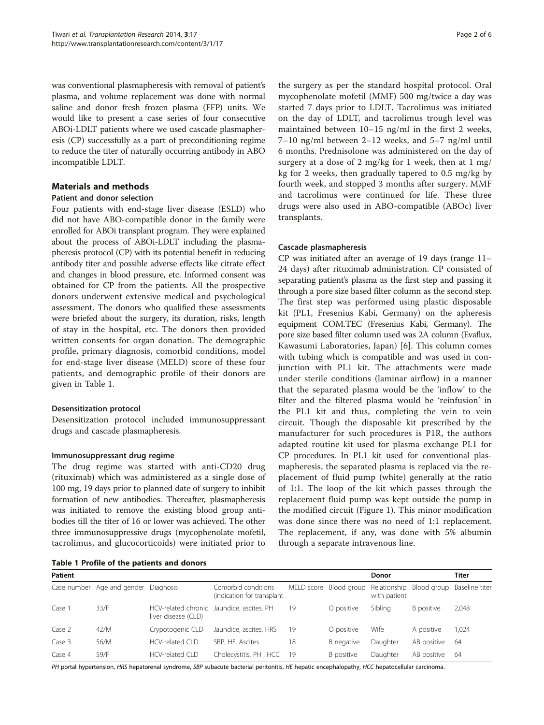was conventional plasmapheresis with removal of patient's plasma, and volume replacement was done with normal saline and donor fresh frozen plasma (FFP) units. We would like to present a case series of four consecutive ABOi-LDLT patients where we used cascade plasmapheresis (CP) successfully as a part of preconditioning regime to reduce the titer of naturally occurring antibody in ABO incompatible LDLT.

# Materials and methods

#### Patient and donor selection

Four patients with end-stage liver disease (ESLD) who did not have ABO-compatible donor in the family were enrolled for ABOi transplant program. They were explained about the process of ABOi-LDLT including the plasmapheresis protocol (CP) with its potential benefit in reducing antibody titer and possible adverse effects like citrate effect and changes in blood pressure, etc. Informed consent was obtained for CP from the patients. All the prospective donors underwent extensive medical and psychological assessment. The donors who qualified these assessments were briefed about the surgery, its duration, risks, length of stay in the hospital, etc. The donors then provided written consents for organ donation. The demographic profile, primary diagnosis, comorbid conditions, model for end-stage liver disease (MELD) score of these four patients, and demographic profile of their donors are given in Table 1.

# Desensitization protocol

Desensitization protocol included immunosuppressant drugs and cascade plasmapheresis.

# Immunosuppressant drug regime

The drug regime was started with anti-CD20 drug (rituximab) which was administered as a single dose of 100 mg, 19 days prior to planned date of surgery to inhibit formation of new antibodies. Thereafter, plasmapheresis was initiated to remove the existing blood group antibodies till the titer of 16 or lower was achieved. The other three immunosuppressive drugs (mycophenolate mofetil, tacrolimus, and glucocorticoids) were initiated prior to

Table 1 Profile of the patients and donors

the surgery as per the standard hospital protocol. Oral mycophenolate mofetil (MMF) 500 mg/twice a day was started 7 days prior to LDLT. Tacrolimus was initiated on the day of LDLT, and tacrolimus trough level was maintained between 10–15 ng/ml in the first 2 weeks, 7–10 ng/ml between 2–12 weeks, and 5–7 ng/ml until 6 months. Prednisolone was administered on the day of surgery at a dose of 2 mg/kg for 1 week, then at 1 mg/ kg for 2 weeks, then gradually tapered to 0.5 mg/kg by fourth week, and stopped 3 months after surgery. MMF and tacrolimus were continued for life. These three drugs were also used in ABO-compatible (ABOc) liver transplants.

# Cascade plasmapheresis

CP was initiated after an average of 19 days (range 11– 24 days) after rituximab administration. CP consisted of separating patient's plasma as the first step and passing it through a pore size based filter column as the second step. The first step was performed using plastic disposable kit (PL1, Fresenius Kabi, Germany) on the apheresis equipment COM.TEC (Fresenius Kabi, Germany). The pore size based filter column used was 2A column (Evaflux, Kawasumi Laboratories, Japan) [[6\]](#page-5-0). This column comes with tubing which is compatible and was used in conjunction with PL1 kit. The attachments were made under sterile conditions (laminar airflow) in a manner that the separated plasma would be the 'inflow' to the filter and the filtered plasma would be 'reinfusion' in the PL1 kit and thus, completing the vein to vein circuit. Though the disposable kit prescribed by the manufacturer for such procedures is P1R, the authors adapted routine kit used for plasma exchange PL1 for CP procedures. In PL1 kit used for conventional plasmapheresis, the separated plasma is replaced via the replacement of fluid pump (white) generally at the ratio of 1:1. The loop of the kit which passes through the replacement fluid pump was kept outside the pump in the modified circuit (Figure [1\)](#page-2-0). This minor modification was done since there was no need of 1:1 replacement. The replacement, if any, was done with 5% albumin through a separate intravenous line.

| Patient |                                      |                        |                                                   |            |             | Donor        |                                         | Titer |
|---------|--------------------------------------|------------------------|---------------------------------------------------|------------|-------------|--------------|-----------------------------------------|-------|
|         | Case number Age and gender Diagnosis |                        | Comorbid conditions<br>(indication for transplant | MELD score | Blood group | with patient | Relationship Blood group Baseline titer |       |
| Case 1  | 33/F                                 | liver disease (CLD)    | HCV-related chronic Jaundice, ascites, PH         | 19         | O positive  | Sibling      | B positive                              | 2,048 |
| Case 2  | 42/M                                 | Crypotogenic CLD       | Jaundice, ascites, HRS                            | 19         | O positive  | Wife         | A positive                              | 1.024 |
| Case 3  | 56/M                                 | $HCV$ -related $ClD$   | SBP, HE, Ascites                                  | 18         | B negative  | Daughter     | AB positive                             | -64   |
| Case 4  | 59/F                                 | <b>HCV-related CLD</b> | Cholecystitis, PH, HCC                            | - 19       | B positive  | Daughter     | AB positive                             | -64   |

PH portal hypertension, HRS hepatorenal syndrome, SBP subacute bacterial peritonitis, HE hepatic encephalopathy, HCC hepatocellular carcinoma.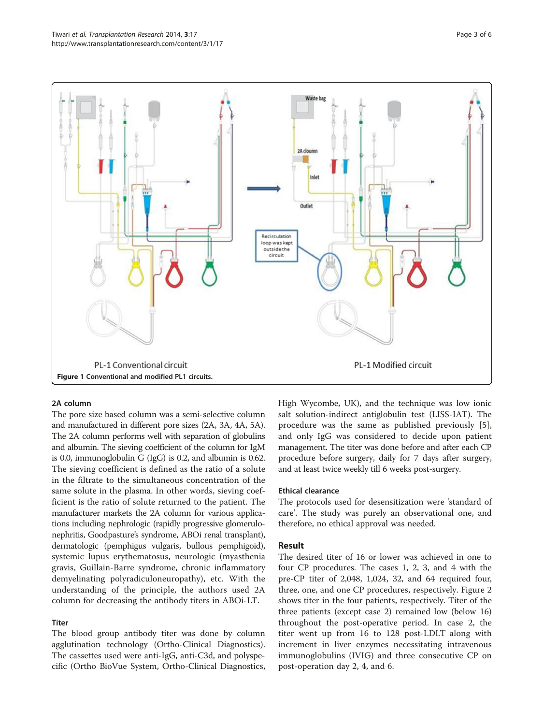<span id="page-2-0"></span>

#### 2A column

The pore size based column was a semi-selective column and manufactured in different pore sizes (2A, 3A, 4A, 5A). The 2A column performs well with separation of globulins and albumin. The sieving coefficient of the column for IgM is 0.0, immunoglobulin G (IgG) is 0.2, and albumin is 0.62. The sieving coefficient is defined as the ratio of a solute in the filtrate to the simultaneous concentration of the same solute in the plasma. In other words, sieving coefficient is the ratio of solute returned to the patient. The manufacturer markets the 2A column for various applications including nephrologic (rapidly progressive glomerulonephritis, Goodpasture's syndrome, ABOi renal transplant), dermatologic (pemphigus vulgaris, bullous pemphigoid), systemic lupus erythematosus, neurologic (myasthenia gravis, Guillain-Barre syndrome, chronic inflammatory demyelinating polyradiculoneuropathy), etc. With the understanding of the principle, the authors used 2A column for decreasing the antibody titers in ABOi-LT.

#### Titer

The blood group antibody titer was done by column agglutination technology (Ortho-Clinical Diagnostics). The cassettes used were anti-IgG, anti-C3d, and polyspecific (Ortho BioVue System, Ortho-Clinical Diagnostics, High Wycombe, UK), and the technique was low ionic salt solution-indirect antiglobulin test (LISS-IAT). The procedure was the same as published previously [\[5](#page-5-0)], and only IgG was considered to decide upon patient management. The titer was done before and after each CP procedure before surgery, daily for 7 days after surgery, and at least twice weekly till 6 weeks post-surgery.

#### Ethical clearance

The protocols used for desensitization were 'standard of care'. The study was purely an observational one, and therefore, no ethical approval was needed.

#### Result

The desired titer of 16 or lower was achieved in one to four CP procedures. The cases 1, 2, 3, and 4 with the pre-CP titer of 2,048, 1,024, 32, and 64 required four, three, one, and one CP procedures, respectively. Figure [2](#page-3-0) shows titer in the four patients, respectively. Titer of the three patients (except case 2) remained low (below 16) throughout the post-operative period. In case 2, the titer went up from 16 to 128 post-LDLT along with increment in liver enzymes necessitating intravenous immunoglobulins (IVIG) and three consecutive CP on post-operation day 2, 4, and 6.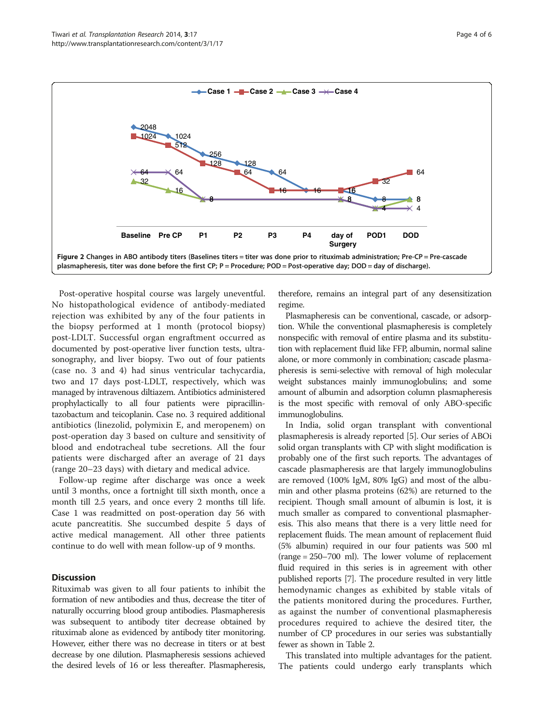<span id="page-3-0"></span>

Post-operative hospital course was largely uneventful. No histopathological evidence of antibody-mediated rejection was exhibited by any of the four patients in the biopsy performed at 1 month (protocol biopsy) post-LDLT. Successful organ engraftment occurred as documented by post-operative liver function tests, ultrasonography, and liver biopsy. Two out of four patients (case no. 3 and 4) had sinus ventricular tachycardia, two and 17 days post-LDLT, respectively, which was managed by intravenous diltiazem. Antibiotics administered prophylactically to all four patients were pipracillintazobactum and teicoplanin. Case no. 3 required additional antibiotics (linezolid, polymixin E, and meropenem) on post-operation day 3 based on culture and sensitivity of blood and endotracheal tube secretions. All the four patients were discharged after an average of 21 days (range 20–23 days) with dietary and medical advice.

Follow-up regime after discharge was once a week until 3 months, once a fortnight till sixth month, once a month till 2.5 years, and once every 2 months till life. Case 1 was readmitted on post-operation day 56 with acute pancreatitis. She succumbed despite 5 days of active medical management. All other three patients continue to do well with mean follow-up of 9 months.

#### **Discussion**

Rituximab was given to all four patients to inhibit the formation of new antibodies and thus, decrease the titer of naturally occurring blood group antibodies. Plasmapheresis was subsequent to antibody titer decrease obtained by rituximab alone as evidenced by antibody titer monitoring. However, either there was no decrease in titers or at best decrease by one dilution. Plasmapheresis sessions achieved the desired levels of 16 or less thereafter. Plasmapheresis, therefore, remains an integral part of any desensitization regime.

Plasmapheresis can be conventional, cascade, or adsorption. While the conventional plasmapheresis is completely nonspecific with removal of entire plasma and its substitution with replacement fluid like FFP, albumin, normal saline alone, or more commonly in combination; cascade plasmapheresis is semi-selective with removal of high molecular weight substances mainly immunoglobulins; and some amount of albumin and adsorption column plasmapheresis is the most specific with removal of only ABO-specific immunoglobulins.

In India, solid organ transplant with conventional plasmapheresis is already reported [\[5](#page-5-0)]. Our series of ABOi solid organ transplants with CP with slight modification is probably one of the first such reports. The advantages of cascade plasmapheresis are that largely immunoglobulins are removed (100% IgM, 80% IgG) and most of the albumin and other plasma proteins (62%) are returned to the recipient. Though small amount of albumin is lost, it is much smaller as compared to conventional plasmapheresis. This also means that there is a very little need for replacement fluids. The mean amount of replacement fluid (5% albumin) required in our four patients was 500 ml (range = 250–700 ml). The lower volume of replacement fluid required in this series is in agreement with other published reports [\[7](#page-5-0)]. The procedure resulted in very little hemodynamic changes as exhibited by stable vitals of the patients monitored during the procedures. Further, as against the number of conventional plasmapheresis procedures required to achieve the desired titer, the number of CP procedures in our series was substantially fewer as shown in Table [2](#page-4-0).

This translated into multiple advantages for the patient. The patients could undergo early transplants which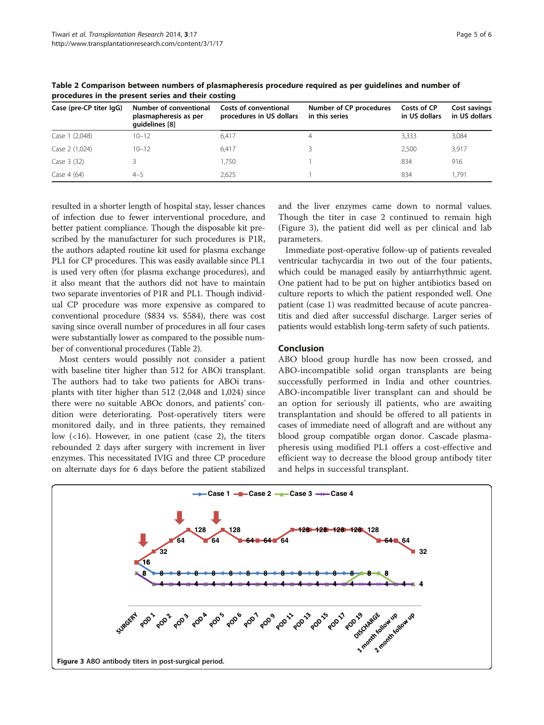| Case (pre-CP titer IgG) | Number of conventional<br>plasmapheresis as per<br>quidelines [8] | Costs of conventional<br>procedures in US dollars | Number of CP procedures<br>in this series | Costs of CP<br>in US dollars | Cost savings<br>in US dollars |
|-------------------------|-------------------------------------------------------------------|---------------------------------------------------|-------------------------------------------|------------------------------|-------------------------------|
| Case 1 (2,048)          | $10 - 12$                                                         | 6.417                                             | 4                                         | 3.333                        | 3,084                         |
| Case 2 (1,024)          | $10 - 12$                                                         | 6.417                                             |                                           | 2.500                        | 3,917                         |
| Case 3 (32)             |                                                                   | 1.750                                             |                                           | 834                          | 916                           |
| Case 4 (64)             | $4 - 5$                                                           | 2.625                                             |                                           | 834                          | 1.791                         |

<span id="page-4-0"></span>Table 2 Comparison between numbers of plasmapheresis procedure required as per guidelines and number of procedures in the present series and their costing

resulted in a shorter length of hospital stay, lesser chances of infection due to fewer interventional procedure, and better patient compliance. Though the disposable kit prescribed by the manufacturer for such procedures is P1R, the authors adapted routine kit used for plasma exchange PL1 for CP procedures. This was easily available since PL1 is used very often (for plasma exchange procedures), and it also meant that the authors did not have to maintain two separate inventories of P1R and PL1. Though individual CP procedure was more expensive as compared to conventional procedure (\$834 vs. \$584), there was cost saving since overall number of procedures in all four cases were substantially lower as compared to the possible number of conventional procedures (Table 2).

Most centers would possibly not consider a patient with baseline titer higher than 512 for ABOi transplant. The authors had to take two patients for ABOi transplants with titer higher than 512 (2,048 and 1,024) since there were no suitable ABOc donors, and patients' condition were deteriorating. Post-operatively titers were monitored daily, and in three patients, they remained low (<16). However, in one patient (case 2), the titers rebounded 2 days after surgery with increment in liver enzymes. This necessitated IVIG and three CP procedure on alternate days for 6 days before the patient stabilized and the liver enzymes came down to normal values. Though the titer in case 2 continued to remain high (Figure 3), the patient did well as per clinical and lab parameters.

Immediate post-operative follow-up of patients revealed ventricular tachycardia in two out of the four patients, which could be managed easily by antiarrhythmic agent. One patient had to be put on higher antibiotics based on culture reports to which the patient responded well. One patient (case 1) was readmitted because of acute pancreatitis and died after successful discharge. Larger series of patients would establish long-term safety of such patients.

# Conclusion

ABO blood group hurdle has now been crossed, and ABO-incompatible solid organ transplants are being successfully performed in India and other countries. ABO-incompatible liver transplant can and should be an option for seriously ill patients, who are awaiting transplantation and should be offered to all patients in cases of immediate need of allograft and are without any blood group compatible organ donor. Cascade plasmapheresis using modified PL1 offers a cost-effective and efficient way to decrease the blood group antibody titer and helps in successful transplant.